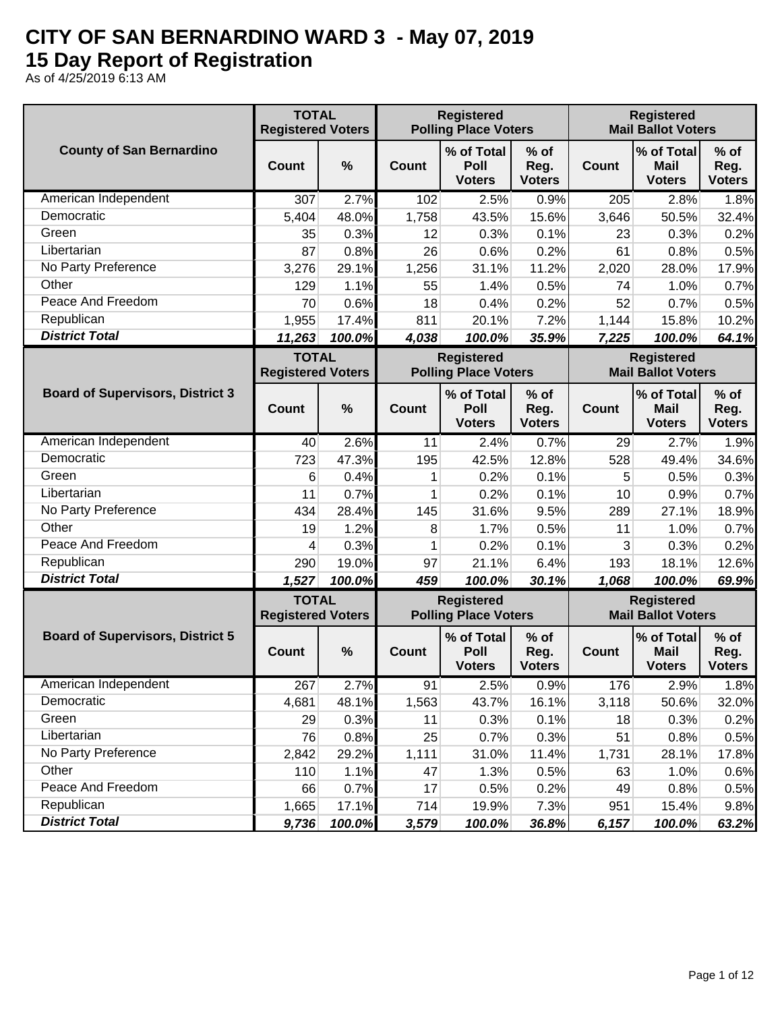## **CITY OF SAN BERNARDINO WARD 3 - May 07, 2019 15 Day Report of Registration**

As of 4/25/2019 6:13 AM

|                                         | <b>TOTAL</b><br><b>Registered Voters</b> |        |              | <b>Registered</b><br><b>Registered</b><br><b>Polling Place Voters</b><br><b>Mail Ballot Voters</b> |                                 |              |                                                |                                 |
|-----------------------------------------|------------------------------------------|--------|--------------|----------------------------------------------------------------------------------------------------|---------------------------------|--------------|------------------------------------------------|---------------------------------|
| <b>County of San Bernardino</b>         | <b>Count</b>                             | %      | Count        | % of Total<br>Poll<br><b>Voters</b>                                                                | $%$ of<br>Reg.<br><b>Voters</b> | Count        | % of Total<br><b>Mail</b><br><b>Voters</b>     | $%$ of<br>Reg.<br><b>Voters</b> |
| American Independent                    | 307                                      | 2.7%   | 102          | 2.5%                                                                                               | 0.9%                            | 205          | 2.8%                                           | 1.8%                            |
| Democratic                              | 5,404                                    | 48.0%  | 1,758        | 43.5%                                                                                              | 15.6%                           | 3,646        | 50.5%                                          | 32.4%                           |
| Green                                   | 35                                       | 0.3%   | 12           | 0.3%                                                                                               | 0.1%                            | 23           | 0.3%                                           | 0.2%                            |
| Libertarian                             | 87                                       | 0.8%   | 26           | 0.6%                                                                                               | 0.2%                            | 61           | 0.8%                                           | 0.5%                            |
| No Party Preference                     | 3,276                                    | 29.1%  | 1,256        | 31.1%                                                                                              | 11.2%                           | 2,020        | 28.0%                                          | 17.9%                           |
| Other                                   | 129                                      | 1.1%   | 55           | 1.4%                                                                                               | 0.5%                            | 74           | 1.0%                                           | 0.7%                            |
| Peace And Freedom                       | 70                                       | 0.6%   | 18           | 0.4%                                                                                               | 0.2%                            | 52           | 0.7%                                           | 0.5%                            |
| Republican                              | 1,955                                    | 17.4%  | 811          | 20.1%                                                                                              | 7.2%                            | 1,144        | 15.8%                                          | 10.2%                           |
| <b>District Total</b>                   | 11,263                                   | 100.0% | 4,038        | 100.0%                                                                                             | 35.9%                           | 7,225        | 100.0%                                         | 64.1%                           |
|                                         | <b>TOTAL</b><br><b>Registered Voters</b> |        |              | <b>Registered</b><br><b>Polling Place Voters</b>                                                   |                                 |              | <b>Registered</b><br><b>Mail Ballot Voters</b> |                                 |
| <b>Board of Supervisors, District 3</b> | <b>Count</b>                             | %      | Count        | % of Total<br>Poll<br><b>Voters</b>                                                                | $%$ of<br>Reg.<br><b>Voters</b> | <b>Count</b> | % of Total<br><b>Mail</b><br><b>Voters</b>     | $%$ of<br>Reg.<br><b>Voters</b> |
| American Independent                    | 40                                       | 2.6%   | 11           | 2.4%                                                                                               | 0.7%                            | 29           | 2.7%                                           | 1.9%                            |
| Democratic                              | 723                                      | 47.3%  | 195          | 42.5%                                                                                              | 12.8%                           | 528          | 49.4%                                          | 34.6%                           |
| Green                                   | 6                                        | 0.4%   | 1            | 0.2%                                                                                               | 0.1%                            | 5            | 0.5%                                           | 0.3%                            |
| Libertarian                             | 11                                       | 0.7%   | 1            | 0.2%                                                                                               | 0.1%                            | 10           | 0.9%                                           | 0.7%                            |
| No Party Preference                     | 434                                      | 28.4%  | 145          | 31.6%                                                                                              | 9.5%                            | 289          | 27.1%                                          | 18.9%                           |
| Other                                   | 19                                       | 1.2%   | 8            | 1.7%                                                                                               | 0.5%                            | 11           | 1.0%                                           | 0.7%                            |
| Peace And Freedom                       | 4                                        | 0.3%   | 1            | 0.2%                                                                                               | 0.1%                            | 3            | 0.3%                                           | 0.2%                            |
| Republican                              | 290                                      | 19.0%  | 97           | 21.1%                                                                                              | 6.4%                            | 193          | 18.1%                                          | 12.6%                           |
| <b>District Total</b>                   | 1,527                                    | 100.0% | 459          | 100.0%                                                                                             | 30.1%                           | 1,068        | 100.0%                                         | 69.9%                           |
|                                         | <b>TOTAL</b><br><b>Registered Voters</b> |        |              | <b>Registered</b><br><b>Polling Place Voters</b>                                                   |                                 |              | <b>Registered</b><br><b>Mail Ballot Voters</b> |                                 |
| <b>Board of Supervisors, District 5</b> | Count                                    | %      | <b>Count</b> | % of Total<br>Poll<br><b>Voters</b>                                                                | $%$ of<br>Reg.<br><b>Voters</b> | Count        | % of Total<br><b>Mail</b><br><b>Voters</b>     | $%$ of<br>Reg.<br><b>Voters</b> |
| American Independent                    | 267                                      | 2.7%   | 91           | 2.5%                                                                                               | 0.9%                            | 176          | 2.9%                                           | 1.8%                            |
| Democratic                              | 4,681                                    | 48.1%  | 1,563        | 43.7%                                                                                              | 16.1%                           | 3,118        | 50.6%                                          | 32.0%                           |
| Green                                   | 29                                       | 0.3%   | 11           | 0.3%                                                                                               | 0.1%                            | 18           | 0.3%                                           | 0.2%                            |
| Libertarian                             | 76                                       | 0.8%   | 25           | 0.7%                                                                                               | 0.3%                            | 51           | 0.8%                                           | 0.5%                            |
| No Party Preference                     | 2,842                                    | 29.2%  | 1,111        | 31.0%                                                                                              | 11.4%                           | 1,731        | 28.1%                                          | 17.8%                           |
| Other                                   | 110                                      | 1.1%   | 47           | 1.3%                                                                                               | 0.5%                            | 63           | 1.0%                                           | 0.6%                            |
| Peace And Freedom                       | 66                                       | 0.7%   | 17           | 0.5%                                                                                               | 0.2%                            | 49           | 0.8%                                           | 0.5%                            |
| Republican                              | 1,665                                    | 17.1%  | 714          | 19.9%                                                                                              | 7.3%                            | 951          | 15.4%                                          | 9.8%                            |
| <b>District Total</b>                   | 9,736                                    | 100.0% | 3,579        | 100.0%                                                                                             | 36.8%                           | 6,157        | 100.0%                                         | 63.2%                           |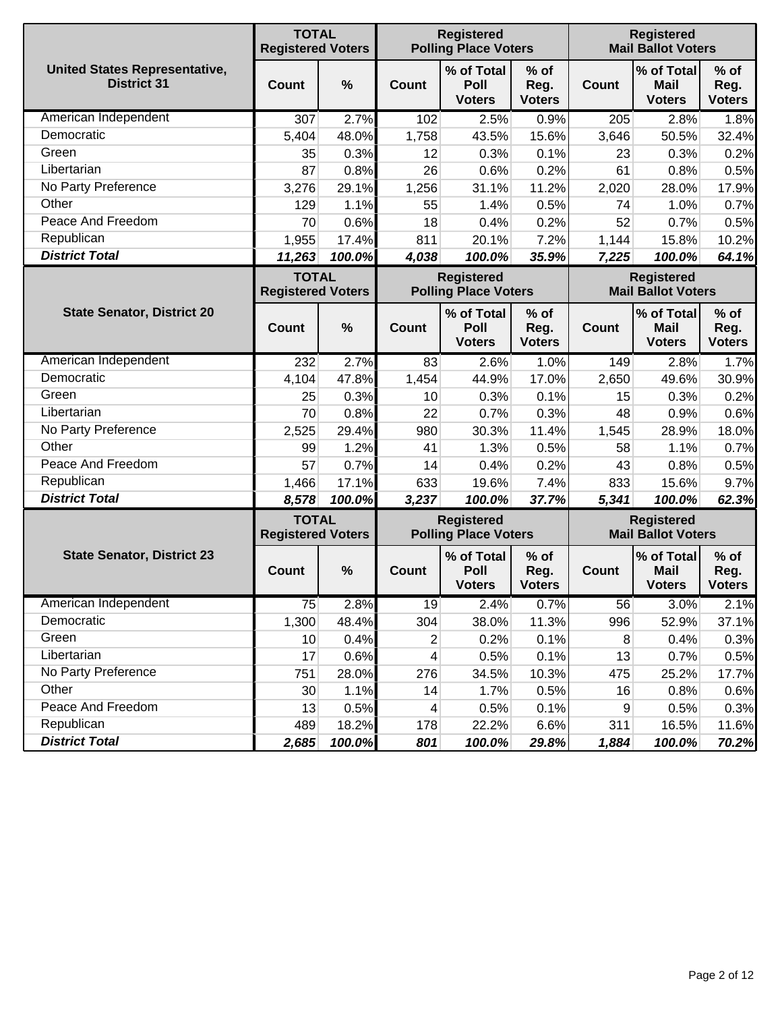|                                                            | <b>TOTAL</b><br><b>Registered Voters</b> |        |                          | <b>Registered</b><br><b>Registered</b><br><b>Mail Ballot Voters</b><br><b>Polling Place Voters</b> |                                 |       |                                                |                                 |
|------------------------------------------------------------|------------------------------------------|--------|--------------------------|----------------------------------------------------------------------------------------------------|---------------------------------|-------|------------------------------------------------|---------------------------------|
| <b>United States Representative,</b><br><b>District 31</b> | Count                                    | %      | Count                    | % of Total<br>Poll<br><b>Voters</b>                                                                | $%$ of<br>Reg.<br><b>Voters</b> | Count | % of Total<br>Mail<br><b>Voters</b>            | $%$ of<br>Reg.<br><b>Voters</b> |
| American Independent                                       | 307                                      | 2.7%   | 102                      | 2.5%                                                                                               | 0.9%                            | 205   | 2.8%                                           | 1.8%                            |
| Democratic                                                 | 5,404                                    | 48.0%  | 1,758                    | 43.5%                                                                                              | 15.6%                           | 3,646 | 50.5%                                          | 32.4%                           |
| Green                                                      | 35                                       | 0.3%   | 12                       | 0.3%                                                                                               | 0.1%                            | 23    | 0.3%                                           | 0.2%                            |
| Libertarian                                                | 87                                       | 0.8%   | 26                       | 0.6%                                                                                               | 0.2%                            | 61    | 0.8%                                           | 0.5%                            |
| No Party Preference                                        | 3,276                                    | 29.1%  | 1,256                    | 31.1%                                                                                              | 11.2%                           | 2,020 | 28.0%                                          | 17.9%                           |
| Other                                                      | 129                                      | 1.1%   | 55                       | 1.4%                                                                                               | 0.5%                            | 74    | 1.0%                                           | 0.7%                            |
| Peace And Freedom                                          | 70                                       | 0.6%   | 18                       | 0.4%                                                                                               | 0.2%                            | 52    | 0.7%                                           | 0.5%                            |
| Republican                                                 | 1,955                                    | 17.4%  | 811                      | 20.1%                                                                                              | 7.2%                            | 1,144 | 15.8%                                          | 10.2%                           |
| <b>District Total</b>                                      | 11,263                                   | 100.0% | 4,038                    | 100.0%                                                                                             | 35.9%                           | 7,225 | 100.0%                                         | 64.1%                           |
|                                                            | <b>TOTAL</b><br><b>Registered Voters</b> |        |                          | <b>Registered</b><br><b>Polling Place Voters</b>                                                   |                                 |       | <b>Registered</b><br><b>Mail Ballot Voters</b> |                                 |
| <b>State Senator, District 20</b>                          | Count                                    | %      | Count                    | % of Total<br>Poll<br><b>Voters</b>                                                                | $%$ of<br>Reg.<br><b>Voters</b> | Count | % of Total<br><b>Mail</b><br><b>Voters</b>     | $%$ of<br>Reg.<br><b>Voters</b> |
| American Independent                                       | 232                                      | 2.7%   | 83                       | 2.6%                                                                                               | 1.0%                            | 149   | 2.8%                                           | 1.7%                            |
| Democratic                                                 | 4,104                                    | 47.8%  | 1,454                    | 44.9%                                                                                              | 17.0%                           | 2,650 | 49.6%                                          | 30.9%                           |
| Green                                                      | 25                                       | 0.3%   | 10                       | 0.3%                                                                                               | 0.1%                            | 15    | 0.3%                                           | 0.2%                            |
| Libertarian                                                | 70                                       | 0.8%   | 22                       | 0.7%                                                                                               | 0.3%                            | 48    | 0.9%                                           | 0.6%                            |
| No Party Preference                                        | 2,525                                    | 29.4%  | 980                      | 30.3%                                                                                              | 11.4%                           | 1,545 | 28.9%                                          | 18.0%                           |
| Other                                                      | 99                                       | 1.2%   | 41                       | 1.3%                                                                                               | 0.5%                            | 58    | 1.1%                                           | 0.7%                            |
| Peace And Freedom                                          | 57                                       | 0.7%   | 14                       | 0.4%                                                                                               | 0.2%                            | 43    | 0.8%                                           | 0.5%                            |
| Republican                                                 | 1,466                                    | 17.1%  | 633                      | 19.6%                                                                                              | 7.4%                            | 833   | 15.6%                                          | 9.7%                            |
| <b>District Total</b>                                      | 8,578                                    | 100.0% | 3,237                    | 100.0%                                                                                             | 37.7%                           | 5,341 | 100.0%                                         | 62.3%                           |
|                                                            | <b>TOTAL</b><br><b>Registered Voters</b> |        |                          | <b>Registered</b><br><b>Polling Place Voters</b>                                                   |                                 |       | <b>Registered</b><br><b>Mail Ballot Voters</b> |                                 |
| <b>State Senator, District 23</b>                          | Count                                    | %      | <b>Count</b>             | % of Total<br>Poll<br><b>Voters</b>                                                                | $%$ of<br>Reg.<br><b>Voters</b> | Count | % of Total<br><b>Mail</b><br><b>Voters</b>     | $%$ of<br>Reg.<br><b>Voters</b> |
| American Independent                                       | 75                                       | 2.8%   | 19                       | 2.4%                                                                                               | 0.7%                            | 56    | 3.0%                                           | 2.1%                            |
| Democratic                                                 | 1,300                                    | 48.4%  | 304                      | 38.0%                                                                                              | 11.3%                           | 996   | 52.9%                                          | 37.1%                           |
| Green                                                      | 10                                       | 0.4%   | $\mathbf{2}$             | 0.2%                                                                                               | 0.1%                            | 8     | 0.4%                                           | 0.3%                            |
| Libertarian                                                | 17                                       | 0.6%   | $\overline{\mathcal{A}}$ | 0.5%                                                                                               | 0.1%                            | 13    | 0.7%                                           | 0.5%                            |
| No Party Preference                                        | 751                                      | 28.0%  | 276                      | 34.5%                                                                                              | 10.3%                           | 475   | 25.2%                                          | 17.7%                           |
| Other                                                      | 30                                       | 1.1%   | 14                       | 1.7%                                                                                               | 0.5%                            | 16    | 0.8%                                           | 0.6%                            |
| Peace And Freedom                                          | 13                                       | 0.5%   | $\overline{4}$           | 0.5%                                                                                               | 0.1%                            | $9\,$ | 0.5%                                           | 0.3%                            |
| Republican                                                 | 489                                      | 18.2%  | 178                      | 22.2%                                                                                              | 6.6%                            | 311   | 16.5%                                          | 11.6%                           |
| <b>District Total</b>                                      | 2,685                                    | 100.0% | 801                      | 100.0%                                                                                             | 29.8%                           | 1,884 | 100.0%                                         | 70.2%                           |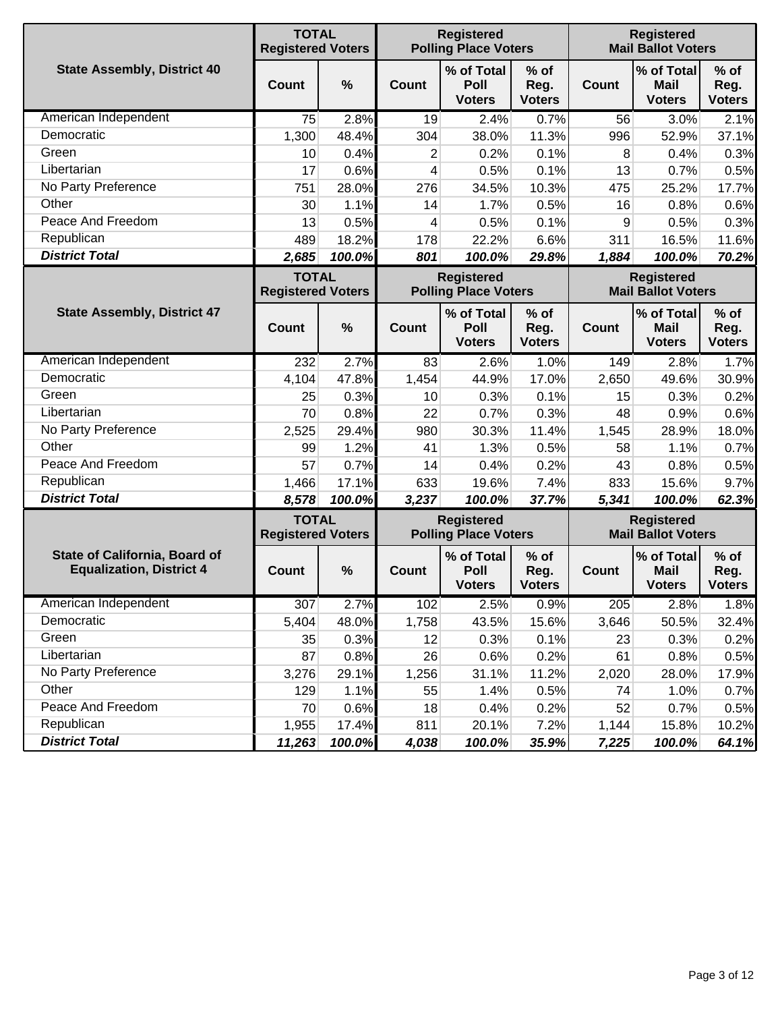|                                                                         | <b>TOTAL</b><br><b>Registered Voters</b> |               |              | <b>Registered</b><br><b>Polling Place Voters</b> |                                 |              | <b>Registered</b><br><b>Mail Ballot Voters</b> |                                 |
|-------------------------------------------------------------------------|------------------------------------------|---------------|--------------|--------------------------------------------------|---------------------------------|--------------|------------------------------------------------|---------------------------------|
| <b>State Assembly, District 40</b>                                      | <b>Count</b>                             | $\frac{0}{0}$ | Count        | % of Total<br>Poll<br><b>Voters</b>              | $%$ of<br>Reg.<br><b>Voters</b> | <b>Count</b> | % of Total<br><b>Mail</b><br><b>Voters</b>     | $%$ of<br>Reg.<br><b>Voters</b> |
| American Independent                                                    | 75                                       | 2.8%          | 19           | 2.4%                                             | 0.7%                            | 56           | 3.0%                                           | 2.1%                            |
| Democratic                                                              | 1,300                                    | 48.4%         | 304          | 38.0%                                            | 11.3%                           | 996          | 52.9%                                          | 37.1%                           |
| Green                                                                   | 10                                       | 0.4%          | 2            | 0.2%                                             | 0.1%                            | 8            | 0.4%                                           | 0.3%                            |
| Libertarian                                                             | 17                                       | 0.6%          | 4            | 0.5%                                             | 0.1%                            | 13           | 0.7%                                           | 0.5%                            |
| No Party Preference                                                     | 751                                      | 28.0%         | 276          | 34.5%                                            | 10.3%                           | 475          | 25.2%                                          | 17.7%                           |
| Other                                                                   | 30                                       | 1.1%          | 14           | 1.7%                                             | 0.5%                            | 16           | 0.8%                                           | 0.6%                            |
| Peace And Freedom                                                       | 13                                       | 0.5%          | 4            | 0.5%                                             | 0.1%                            | 9            | 0.5%                                           | 0.3%                            |
| Republican                                                              | 489                                      | 18.2%         | 178          | 22.2%                                            | 6.6%                            | 311          | 16.5%                                          | 11.6%                           |
| <b>District Total</b>                                                   | 2,685                                    | 100.0%        | 801          | 100.0%                                           | 29.8%                           | 1,884        | 100.0%                                         | 70.2%                           |
|                                                                         | <b>TOTAL</b><br><b>Registered Voters</b> |               |              | <b>Registered</b><br><b>Polling Place Voters</b> |                                 |              | <b>Registered</b><br><b>Mail Ballot Voters</b> |                                 |
| <b>State Assembly, District 47</b>                                      | <b>Count</b>                             | $\frac{0}{0}$ | Count        | % of Total<br>Poll<br><b>Voters</b>              | % of<br>Reg.<br><b>Voters</b>   | <b>Count</b> | % of Total<br><b>Mail</b><br><b>Voters</b>     | $%$ of<br>Reg.<br><b>Voters</b> |
| American Independent                                                    | 232                                      | 2.7%          | 83           | 2.6%                                             | 1.0%                            | 149          | 2.8%                                           | 1.7%                            |
| Democratic                                                              | 4,104                                    | 47.8%         | 1,454        | 44.9%                                            | 17.0%                           | 2,650        | 49.6%                                          | 30.9%                           |
| Green                                                                   | 25                                       | 0.3%          | 10           | 0.3%                                             | 0.1%                            | 15           | 0.3%                                           | 0.2%                            |
| Libertarian                                                             | 70                                       | 0.8%          | 22           | 0.7%                                             | 0.3%                            | 48           | 0.9%                                           | 0.6%                            |
| No Party Preference                                                     | 2,525                                    | 29.4%         | 980          | 30.3%                                            | 11.4%                           | 1,545        | 28.9%                                          | 18.0%                           |
| Other                                                                   | 99                                       | 1.2%          | 41           | 1.3%                                             | 0.5%                            | 58           | 1.1%                                           | 0.7%                            |
| Peace And Freedom                                                       | 57                                       | 0.7%          | 14           | 0.4%                                             | 0.2%                            | 43           | 0.8%                                           | 0.5%                            |
| Republican                                                              | 1,466                                    | 17.1%         | 633          | 19.6%                                            | 7.4%                            | 833          | 15.6%                                          | 9.7%                            |
| <b>District Total</b>                                                   | 8,578                                    | 100.0%        | 3,237        | 100.0%                                           | 37.7%                           | 5,341        | 100.0%                                         | 62.3%                           |
|                                                                         | <b>TOTAL</b><br><b>Registered Voters</b> |               |              | <b>Registered</b><br><b>Polling Place Voters</b> |                                 |              | <b>Registered</b><br><b>Mail Ballot Voters</b> |                                 |
| <b>State of California, Board of</b><br><b>Equalization, District 4</b> | Count                                    | $\frac{0}{0}$ | <b>Count</b> | % of Total<br>Poll<br><b>Voters</b>              | $%$ of<br>Reg.<br><b>Voters</b> | <b>Count</b> | % of Total<br><b>Mail</b><br><b>Voters</b>     | $%$ of<br>Reg.<br><b>Voters</b> |
| American Independent                                                    | 307                                      | 2.7%          | 102          | 2.5%                                             | 0.9%                            | 205          | 2.8%                                           | 1.8%                            |
| Democratic                                                              | 5,404                                    | 48.0%         | 1,758        | 43.5%                                            | 15.6%                           | 3,646        | 50.5%                                          | 32.4%                           |
| Green                                                                   | 35                                       | 0.3%          | 12           | 0.3%                                             | 0.1%                            | 23           | 0.3%                                           | 0.2%                            |
| Libertarian                                                             | 87                                       | 0.8%          | 26           | 0.6%                                             | 0.2%                            | 61           | 0.8%                                           | 0.5%                            |
| No Party Preference                                                     | 3,276                                    | 29.1%         | 1,256        | 31.1%                                            | 11.2%                           | 2,020        | 28.0%                                          | 17.9%                           |
| Other                                                                   | 129                                      | 1.1%          | 55           | 1.4%                                             | 0.5%                            | 74           | 1.0%                                           | 0.7%                            |
| Peace And Freedom                                                       | 70                                       | 0.6%          | 18           | 0.4%                                             | 0.2%                            | 52           | 0.7%                                           | 0.5%                            |
| Republican                                                              | 1,955                                    | 17.4%         | 811          | 20.1%                                            | 7.2%                            | 1,144        | 15.8%                                          | 10.2%                           |
| <b>District Total</b>                                                   | 11,263                                   | 100.0%        | 4,038        | 100.0%                                           | 35.9%                           | 7,225        | 100.0%                                         | 64.1%                           |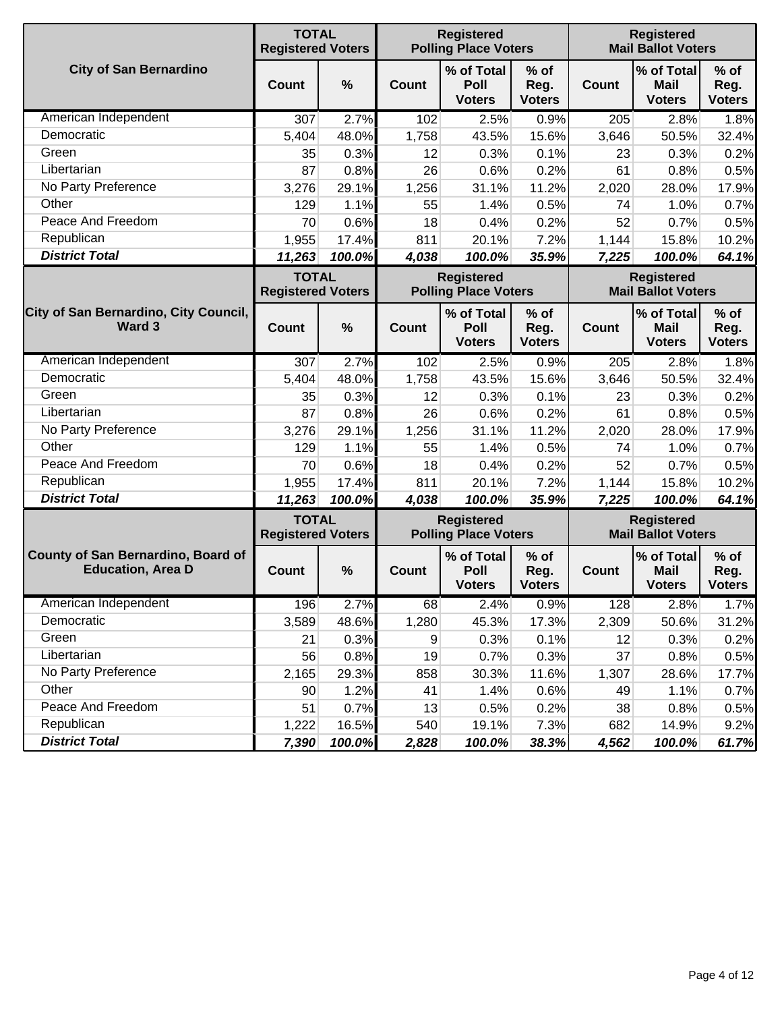|                                                                | <b>TOTAL</b><br><b>Registered Voters</b> |        |              | <b>Registered</b><br><b>Polling Place Voters</b> |                                 |              | <b>Registered</b><br><b>Mail Ballot Voters</b> |                                 |
|----------------------------------------------------------------|------------------------------------------|--------|--------------|--------------------------------------------------|---------------------------------|--------------|------------------------------------------------|---------------------------------|
| <b>City of San Bernardino</b>                                  | <b>Count</b>                             | %      | <b>Count</b> | % of Total<br>Poll<br><b>Voters</b>              | $%$ of<br>Reg.<br><b>Voters</b> | <b>Count</b> | % of Total<br><b>Mail</b><br><b>Voters</b>     | $%$ of<br>Reg.<br><b>Voters</b> |
| American Independent                                           | 307                                      | 2.7%   | 102          | 2.5%                                             | 0.9%                            | 205          | 2.8%                                           | 1.8%                            |
| Democratic                                                     | 5,404                                    | 48.0%  | 1,758        | 43.5%                                            | 15.6%                           | 3,646        | 50.5%                                          | 32.4%                           |
| Green                                                          | 35                                       | 0.3%   | 12           | 0.3%                                             | 0.1%                            | 23           | 0.3%                                           | 0.2%                            |
| Libertarian                                                    | 87                                       | 0.8%   | 26           | 0.6%                                             | 0.2%                            | 61           | 0.8%                                           | 0.5%                            |
| No Party Preference                                            | 3,276                                    | 29.1%  | 1,256        | 31.1%                                            | 11.2%                           | 2,020        | 28.0%                                          | 17.9%                           |
| Other                                                          | 129                                      | 1.1%   | 55           | 1.4%                                             | 0.5%                            | 74           | 1.0%                                           | 0.7%                            |
| Peace And Freedom                                              | 70                                       | 0.6%   | 18           | 0.4%                                             | 0.2%                            | 52           | 0.7%                                           | 0.5%                            |
| Republican                                                     | 1,955                                    | 17.4%  | 811          | 20.1%                                            | 7.2%                            | 1,144        | 15.8%                                          | 10.2%                           |
| <b>District Total</b>                                          | 11,263                                   | 100.0% | 4,038        | 100.0%                                           | 35.9%                           | 7,225        | 100.0%                                         | 64.1%                           |
|                                                                | <b>TOTAL</b><br><b>Registered Voters</b> |        |              | <b>Registered</b><br><b>Polling Place Voters</b> |                                 |              | <b>Registered</b><br><b>Mail Ballot Voters</b> |                                 |
| City of San Bernardino, City Council,<br>Ward 3                | Count                                    | %      | Count        | % of Total<br>Poll<br><b>Voters</b>              | $%$ of<br>Reg.<br><b>Voters</b> | <b>Count</b> | % of Total<br><b>Mail</b><br><b>Voters</b>     | $%$ of<br>Reg.<br><b>Voters</b> |
| American Independent                                           | 307                                      | 2.7%   | 102          | 2.5%                                             | 0.9%                            | 205          | 2.8%                                           | 1.8%                            |
| Democratic                                                     | 5,404                                    | 48.0%  | 1,758        | 43.5%                                            | 15.6%                           | 3,646        | 50.5%                                          | 32.4%                           |
| Green                                                          | 35                                       | 0.3%   | 12           | 0.3%                                             | 0.1%                            | 23           | 0.3%                                           | 0.2%                            |
| Libertarian                                                    | 87                                       | 0.8%   | 26           | 0.6%                                             | 0.2%                            | 61           | 0.8%                                           | 0.5%                            |
| No Party Preference                                            | 3,276                                    | 29.1%  | 1,256        | 31.1%                                            | 11.2%                           | 2,020        | 28.0%                                          | 17.9%                           |
| Other                                                          | 129                                      | 1.1%   | 55           | 1.4%                                             | 0.5%                            | 74           | 1.0%                                           | 0.7%                            |
| Peace And Freedom                                              | 70                                       | 0.6%   | 18           | 0.4%                                             | 0.2%                            | 52           | 0.7%                                           | 0.5%                            |
| Republican                                                     | 1,955                                    | 17.4%  | 811          | 20.1%                                            | 7.2%                            | 1,144        | 15.8%                                          | 10.2%                           |
| <b>District Total</b>                                          | 11,263                                   | 100.0% | 4,038        | 100.0%                                           | 35.9%                           | 7,225        | 100.0%                                         | 64.1%                           |
|                                                                | <b>TOTAL</b><br><b>Registered Voters</b> |        |              | <b>Registered</b><br><b>Polling Place Voters</b> |                                 |              | <b>Registered</b><br><b>Mail Ballot Voters</b> |                                 |
| County of San Bernardino, Board of<br><b>Education, Area D</b> | Count                                    | %      | <b>Count</b> | % of Total<br>Poll<br><b>Voters</b>              | $%$ of<br>Reg.<br><b>Voters</b> | <b>Count</b> | % of Total<br><b>Mail</b><br><b>Voters</b>     | $%$ of<br>Reg.<br><b>Voters</b> |
| American Independent                                           | 196                                      | 2.7%   | 68           | 2.4%                                             | 0.9%                            | 128          | 2.8%                                           | 1.7%                            |
| Democratic                                                     | 3,589                                    | 48.6%  | 1,280        | 45.3%                                            | 17.3%                           | 2,309        | 50.6%                                          | 31.2%                           |
| Green                                                          | 21                                       | 0.3%   | 9            | 0.3%                                             | 0.1%                            | 12           | 0.3%                                           | 0.2%                            |
| Libertarian                                                    | 56                                       | 0.8%   | 19           | 0.7%                                             | 0.3%                            | 37           | 0.8%                                           | 0.5%                            |
| No Party Preference                                            | 2,165                                    | 29.3%  | 858          | 30.3%                                            | 11.6%                           | 1,307        | 28.6%                                          | 17.7%                           |
| Other                                                          | 90                                       | 1.2%   | 41           | 1.4%                                             | 0.6%                            | 49           | 1.1%                                           | 0.7%                            |
| Peace And Freedom                                              | 51                                       | 0.7%   | 13           | 0.5%                                             | 0.2%                            | 38           | 0.8%                                           | 0.5%                            |
| Republican                                                     | 1,222                                    | 16.5%  | 540          | 19.1%                                            | 7.3%                            | 682          | 14.9%                                          | 9.2%                            |
| <b>District Total</b>                                          | 7,390                                    | 100.0% | 2,828        | 100.0%                                           | 38.3%                           | 4,562        | 100.0%                                         | 61.7%                           |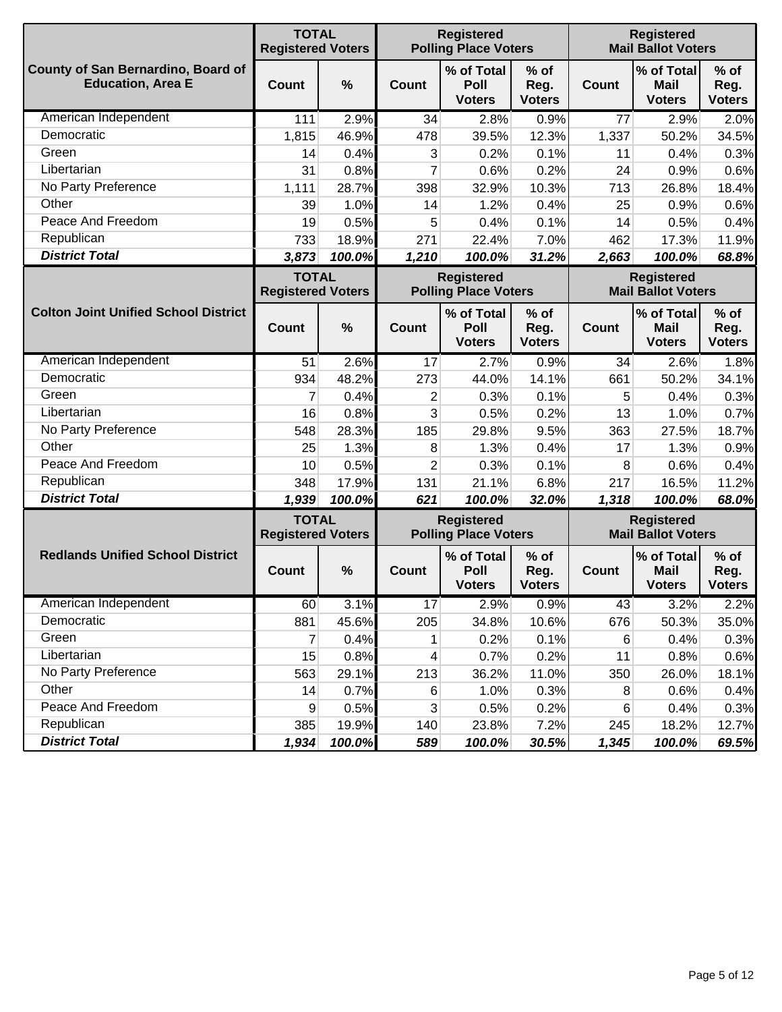|                                                                | <b>TOTAL</b><br><b>Registered Voters</b> |               |                | <b>Registered</b><br><b>Polling Place Voters</b> |                                 |              | <b>Registered</b><br><b>Mail Ballot Voters</b> |                                 |  |  |
|----------------------------------------------------------------|------------------------------------------|---------------|----------------|--------------------------------------------------|---------------------------------|--------------|------------------------------------------------|---------------------------------|--|--|
| County of San Bernardino, Board of<br><b>Education, Area E</b> | Count                                    | $\frac{0}{0}$ | Count          | % of Total<br>Poll<br><b>Voters</b>              | % of<br>Reg.<br><b>Voters</b>   | <b>Count</b> | % of Total<br><b>Mail</b><br><b>Voters</b>     | $%$ of<br>Reg.<br><b>Voters</b> |  |  |
| American Independent                                           | 111                                      | 2.9%          | 34             | 2.8%                                             | 0.9%                            | 77           | 2.9%                                           | 2.0%                            |  |  |
| Democratic                                                     | 1,815                                    | 46.9%         | 478            | 39.5%                                            | 12.3%                           | 1,337        | 50.2%                                          | 34.5%                           |  |  |
| Green                                                          | 14                                       | 0.4%          | 3              | 0.2%                                             | 0.1%                            | 11           | 0.4%                                           | 0.3%                            |  |  |
| Libertarian                                                    | 31                                       | 0.8%          | 7              | 0.6%                                             | 0.2%                            | 24           | 0.9%                                           | 0.6%                            |  |  |
| No Party Preference                                            | 1,111                                    | 28.7%         | 398            | 32.9%                                            | 10.3%                           | 713          | 26.8%                                          | 18.4%                           |  |  |
| Other                                                          | 39                                       | 1.0%          | 14             | 1.2%                                             | 0.4%                            | 25           | 0.9%                                           | 0.6%                            |  |  |
| Peace And Freedom                                              | 19                                       | 0.5%          | 5              | 0.4%                                             | 0.1%                            | 14           | 0.5%                                           | 0.4%                            |  |  |
| Republican                                                     | 733                                      | 18.9%         | 271            | 22.4%                                            | 7.0%                            | 462          | 17.3%                                          | 11.9%                           |  |  |
| <b>District Total</b>                                          | 3,873                                    | 100.0%        | 1,210          | 100.0%                                           | 31.2%                           | 2,663        | 100.0%                                         | 68.8%                           |  |  |
|                                                                | <b>TOTAL</b><br><b>Registered Voters</b> |               |                | <b>Registered</b><br><b>Polling Place Voters</b> |                                 |              | <b>Registered</b><br><b>Mail Ballot Voters</b> |                                 |  |  |
| <b>Colton Joint Unified School District</b>                    | <b>Count</b>                             | $\frac{0}{0}$ | Count          | % of Total<br>Poll<br><b>Voters</b>              | $%$ of<br>Reg.<br><b>Voters</b> | <b>Count</b> | % of Total<br><b>Mail</b><br><b>Voters</b>     | $%$ of<br>Reg.<br><b>Voters</b> |  |  |
| American Independent                                           | 51                                       | 2.6%          | 17             | 2.7%                                             | 0.9%                            | 34           | 2.6%                                           | 1.8%                            |  |  |
| Democratic                                                     | 934                                      | 48.2%         | 273            | 44.0%                                            | 14.1%                           | 661          | 50.2%                                          | 34.1%                           |  |  |
| Green                                                          | 7                                        | 0.4%          | $\overline{2}$ | 0.3%                                             | 0.1%                            | 5            | 0.4%                                           | 0.3%                            |  |  |
| Libertarian                                                    | 16                                       | 0.8%          | 3              | 0.5%                                             | 0.2%                            | 13           | 1.0%                                           | 0.7%                            |  |  |
| No Party Preference                                            | 548                                      | 28.3%         | 185            | 29.8%                                            | 9.5%                            | 363          | 27.5%                                          | 18.7%                           |  |  |
| Other                                                          | 25                                       | 1.3%          | 8              | 1.3%                                             | 0.4%                            | 17           | 1.3%                                           | 0.9%                            |  |  |
| Peace And Freedom                                              | 10                                       | 0.5%          | $\overline{2}$ | 0.3%                                             | 0.1%                            | 8            | 0.6%                                           | 0.4%                            |  |  |
| Republican                                                     | 348                                      | 17.9%         | 131            | 21.1%                                            | 6.8%                            | 217          | 16.5%                                          | 11.2%                           |  |  |
| <b>District Total</b>                                          | 1,939                                    | 100.0%        | 621            | 100.0%                                           | 32.0%                           | 1,318        | 100.0%                                         | 68.0%                           |  |  |
|                                                                | <b>TOTAL</b><br><b>Registered Voters</b> |               |                | <b>Registered</b><br><b>Polling Place Voters</b> |                                 |              | <b>Registered</b><br><b>Mail Ballot Voters</b> |                                 |  |  |
| <b>Redlands Unified School District</b>                        | Count                                    | $\frac{0}{0}$ | <b>Count</b>   | % of Total<br>Poll<br><b>Voters</b>              | $%$ of<br>Reg.<br><b>Voters</b> | Count        | % of Total<br><b>Mail</b><br><b>Voters</b>     | $%$ of<br>Reg.<br><b>Voters</b> |  |  |
| American Independent                                           | 60                                       | 3.1%          | 17             | 2.9%                                             | 0.9%                            | 43           | 3.2%                                           | 2.2%                            |  |  |
| Democratic                                                     | 881                                      | 45.6%         | 205            | 34.8%                                            | 10.6%                           | 676          | 50.3%                                          | 35.0%                           |  |  |
| Green                                                          | 7                                        | 0.4%          | 1              | 0.2%                                             | 0.1%                            | 6            | 0.4%                                           | 0.3%                            |  |  |
| Libertarian                                                    | 15                                       | 0.8%          | 4              | 0.7%                                             | 0.2%                            | 11           | 0.8%                                           | 0.6%                            |  |  |
| No Party Preference                                            | 563                                      | 29.1%         | 213            | 36.2%                                            | 11.0%                           | 350          | 26.0%                                          | 18.1%                           |  |  |
| Other                                                          | 14                                       | 0.7%          | 6              | 1.0%                                             | 0.3%                            | 8            | 0.6%                                           | 0.4%                            |  |  |
| Peace And Freedom                                              | 9                                        | 0.5%          | 3              | 0.5%                                             | 0.2%                            | 6            | 0.4%                                           | 0.3%                            |  |  |
| Republican                                                     | 385                                      | 19.9%         | 140            | 23.8%                                            | 7.2%                            | 245          | 18.2%                                          | 12.7%                           |  |  |
| <b>District Total</b>                                          | 1,934                                    | 100.0%        | 589            | 100.0%                                           | 30.5%                           | 1,345        | 100.0%                                         | 69.5%                           |  |  |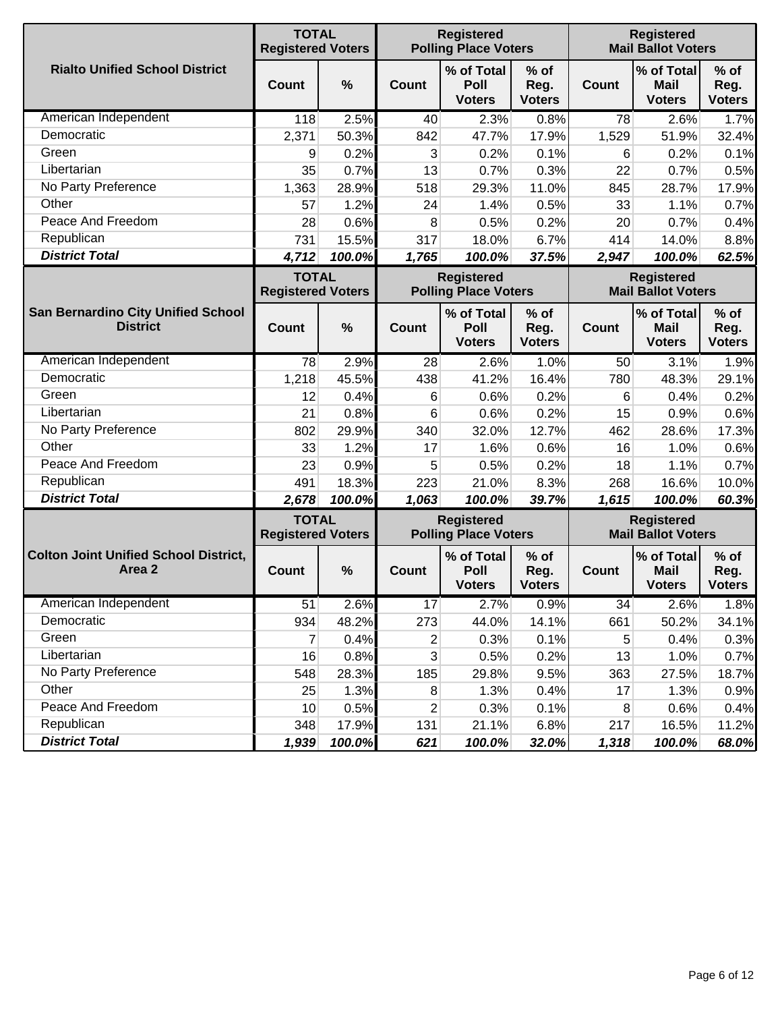|                                                        | <b>TOTAL</b><br><b>Registered Voters</b> |               |              | <b>Registered</b><br><b>Registered</b><br><b>Mail Ballot Voters</b><br><b>Polling Place Voters</b> |                                 |              |                                                |                                 |
|--------------------------------------------------------|------------------------------------------|---------------|--------------|----------------------------------------------------------------------------------------------------|---------------------------------|--------------|------------------------------------------------|---------------------------------|
| <b>Rialto Unified School District</b>                  | <b>Count</b>                             | $\frac{0}{0}$ | Count        | % of Total<br>Poll<br><b>Voters</b>                                                                | % of<br>Reg.<br><b>Voters</b>   | <b>Count</b> | % of Total<br><b>Mail</b><br><b>Voters</b>     | $%$ of<br>Reg.<br><b>Voters</b> |
| American Independent                                   | 118                                      | 2.5%          | 40           | 2.3%                                                                                               | 0.8%                            | 78           | 2.6%                                           | 1.7%                            |
| Democratic                                             | 2,371                                    | 50.3%         | 842          | 47.7%                                                                                              | 17.9%                           | 1,529        | 51.9%                                          | 32.4%                           |
| Green                                                  | 9                                        | 0.2%          | 3            | 0.2%                                                                                               | 0.1%                            | 6            | 0.2%                                           | 0.1%                            |
| Libertarian                                            | 35                                       | 0.7%          | 13           | 0.7%                                                                                               | 0.3%                            | 22           | 0.7%                                           | 0.5%                            |
| No Party Preference                                    | 1,363                                    | 28.9%         | 518          | 29.3%                                                                                              | 11.0%                           | 845          | 28.7%                                          | 17.9%                           |
| Other                                                  | 57                                       | 1.2%          | 24           | 1.4%                                                                                               | 0.5%                            | 33           | 1.1%                                           | 0.7%                            |
| Peace And Freedom                                      | 28                                       | 0.6%          | 8            | 0.5%                                                                                               | 0.2%                            | 20           | 0.7%                                           | 0.4%                            |
| Republican                                             | 731                                      | 15.5%         | 317          | 18.0%                                                                                              | 6.7%                            | 414          | 14.0%                                          | 8.8%                            |
| <b>District Total</b>                                  | 4,712                                    | 100.0%        | 1,765        | 100.0%                                                                                             | 37.5%                           | 2,947        | 100.0%                                         | 62.5%                           |
|                                                        | <b>TOTAL</b><br><b>Registered Voters</b> |               |              | <b>Registered</b><br><b>Polling Place Voters</b>                                                   |                                 |              | <b>Registered</b><br><b>Mail Ballot Voters</b> |                                 |
| San Bernardino City Unified School<br><b>District</b>  | Count                                    | $\frac{0}{0}$ | Count        | % of Total<br>Poll<br><b>Voters</b>                                                                | $%$ of<br>Reg.<br><b>Voters</b> | <b>Count</b> | % of Total<br><b>Mail</b><br><b>Voters</b>     | $%$ of<br>Reg.<br><b>Voters</b> |
| American Independent                                   | 78                                       | 2.9%          | 28           | 2.6%                                                                                               | 1.0%                            | 50           | 3.1%                                           | 1.9%                            |
| Democratic                                             | 1,218                                    | 45.5%         | 438          | 41.2%                                                                                              | 16.4%                           | 780          | 48.3%                                          | 29.1%                           |
| Green                                                  | 12                                       | 0.4%          | 6            | 0.6%                                                                                               | 0.2%                            | 6            | 0.4%                                           | 0.2%                            |
| Libertarian                                            | 21                                       | 0.8%          | 6            | 0.6%                                                                                               | 0.2%                            | 15           | 0.9%                                           | 0.6%                            |
| No Party Preference                                    | 802                                      | 29.9%         | 340          | 32.0%                                                                                              | 12.7%                           | 462          | 28.6%                                          | 17.3%                           |
| Other                                                  | 33                                       | 1.2%          | 17           | 1.6%                                                                                               | 0.6%                            | 16           | 1.0%                                           | 0.6%                            |
| Peace And Freedom                                      | 23                                       | 0.9%          | 5            | 0.5%                                                                                               | 0.2%                            | 18           | 1.1%                                           | 0.7%                            |
| Republican                                             | 491                                      | 18.3%         | 223          | 21.0%                                                                                              | 8.3%                            | 268          | 16.6%                                          | 10.0%                           |
| <b>District Total</b>                                  | 2,678                                    | 100.0%        | 1,063        | 100.0%                                                                                             | 39.7%                           | 1,615        | 100.0%                                         | 60.3%                           |
|                                                        | <b>TOTAL</b><br><b>Registered Voters</b> |               |              | <b>Registered</b><br><b>Polling Place Voters</b>                                                   |                                 |              | <b>Registered</b><br><b>Mail Ballot Voters</b> |                                 |
| <b>Colton Joint Unified School District,</b><br>Area 2 | Count                                    | $\frac{0}{0}$ | <b>Count</b> | % of Total<br>Poll<br><b>Voters</b>                                                                | $%$ of<br>Reg.<br><b>Voters</b> | <b>Count</b> | % of Total<br><b>Mail</b><br><b>Voters</b>     | $%$ of<br>Reg.<br><b>Voters</b> |
| American Independent                                   | 51                                       | 2.6%          | 17           | 2.7%                                                                                               | 0.9%                            | 34           | 2.6%                                           | 1.8%                            |
| Democratic                                             | 934                                      | 48.2%         | 273          | 44.0%                                                                                              | 14.1%                           | 661          | 50.2%                                          | 34.1%                           |
| Green                                                  | 7                                        | 0.4%          | 2            | 0.3%                                                                                               | 0.1%                            | 5            | 0.4%                                           | 0.3%                            |
| Libertarian                                            | 16                                       | 0.8%          | $\mathbf{3}$ | 0.5%                                                                                               | 0.2%                            | 13           | 1.0%                                           | 0.7%                            |
| No Party Preference                                    | 548                                      | 28.3%         | 185          | 29.8%                                                                                              | 9.5%                            | 363          | 27.5%                                          | 18.7%                           |
| Other                                                  | 25                                       | 1.3%          | 8            | 1.3%                                                                                               | 0.4%                            | 17           | 1.3%                                           | 0.9%                            |
| Peace And Freedom                                      | 10                                       | 0.5%          | 2            | 0.3%                                                                                               | 0.1%                            | 8            | 0.6%                                           | 0.4%                            |
| Republican                                             | 348                                      | 17.9%         | 131          | 21.1%                                                                                              | 6.8%                            | 217          | 16.5%                                          | 11.2%                           |
| <b>District Total</b>                                  | 1,939                                    | 100.0%        | 621          | 100.0%                                                                                             | 32.0%                           | 1,318        | 100.0%                                         | 68.0%                           |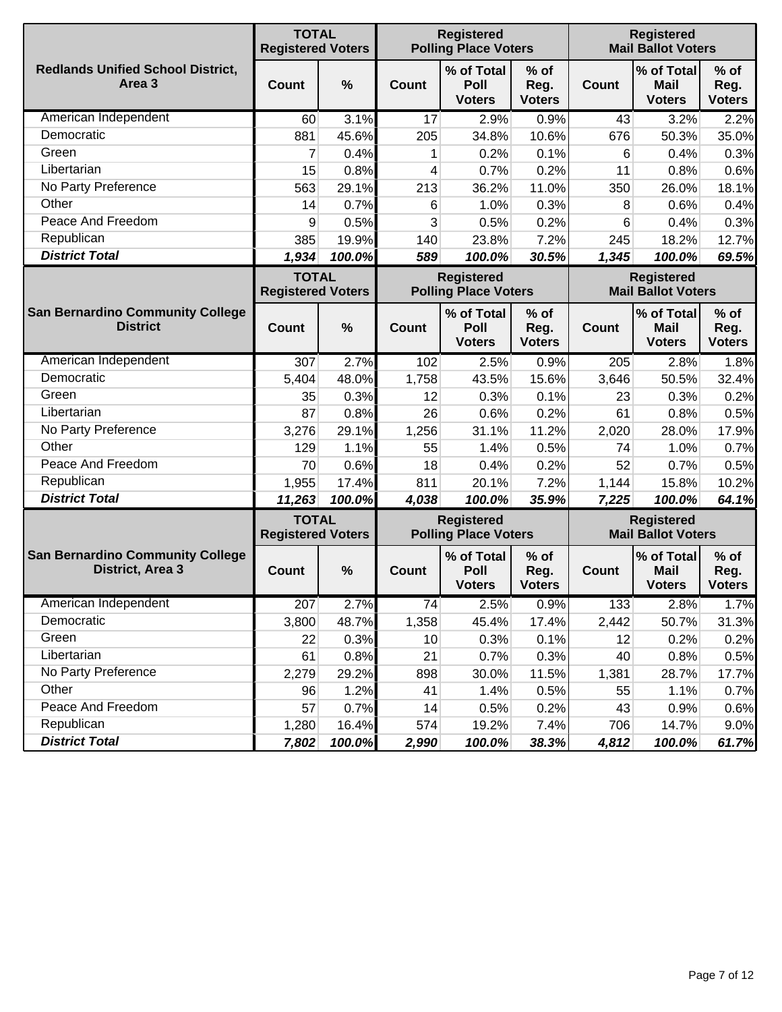|                                                             | <b>TOTAL</b><br><b>Registered Voters</b> |        |              | <b>Registered</b><br><b>Polling Place Voters</b> |                                 |              | <b>Registered</b><br><b>Mail Ballot Voters</b>                              |                                 |  |  |
|-------------------------------------------------------------|------------------------------------------|--------|--------------|--------------------------------------------------|---------------------------------|--------------|-----------------------------------------------------------------------------|---------------------------------|--|--|
| <b>Redlands Unified School District,</b><br>Area 3          | <b>Count</b>                             | %      | <b>Count</b> | % of Total<br>Poll<br><b>Voters</b>              | $%$ of<br>Reg.<br><b>Voters</b> | <b>Count</b> | % of Total<br><b>Mail</b><br><b>Voters</b>                                  | $%$ of<br>Reg.<br><b>Voters</b> |  |  |
| American Independent                                        | 60                                       | 3.1%   | 17           | 2.9%                                             | 0.9%                            | 43           | 3.2%                                                                        | 2.2%                            |  |  |
| Democratic                                                  | 881                                      | 45.6%  | 205          | 34.8%                                            | 10.6%                           | 676          | 50.3%                                                                       | 35.0%                           |  |  |
| Green                                                       | 7                                        | 0.4%   | 1            | 0.2%                                             | 0.1%                            | 6            | 0.4%                                                                        | 0.3%                            |  |  |
| Libertarian                                                 | 15                                       | 0.8%   | 4            | 0.7%                                             | 0.2%                            | 11           | 0.8%                                                                        | 0.6%                            |  |  |
| No Party Preference                                         | 563                                      | 29.1%  | 213          | 36.2%                                            | 11.0%                           | 350          | 26.0%                                                                       | 18.1%                           |  |  |
| Other                                                       | 14                                       | 0.7%   | 6            | 1.0%                                             | 0.3%                            | 8            | 0.6%                                                                        | 0.4%                            |  |  |
| Peace And Freedom                                           | 9                                        | 0.5%   | 3            | 0.5%                                             | 0.2%                            | 6            | 0.4%                                                                        | 0.3%                            |  |  |
| Republican                                                  | 385                                      | 19.9%  | 140          | 23.8%                                            | 7.2%                            | 245          | 18.2%                                                                       | 12.7%                           |  |  |
| <b>District Total</b>                                       | 1,934                                    | 100.0% | 589          | 100.0%                                           | 30.5%                           | 1,345        | 100.0%                                                                      | 69.5%                           |  |  |
|                                                             | <b>TOTAL</b><br><b>Registered Voters</b> |        |              | <b>Registered</b><br><b>Polling Place Voters</b> |                                 |              | <b>Registered</b><br><b>Mail Ballot Voters</b><br>% of Total<br><b>Mail</b> |                                 |  |  |
| <b>San Bernardino Community College</b><br><b>District</b>  | <b>Count</b>                             | %      | Count        | % of Total<br>Poll<br><b>Voters</b>              | $%$ of<br>Reg.<br><b>Voters</b> | <b>Count</b> | <b>Voters</b>                                                               | $%$ of<br>Reg.<br><b>Voters</b> |  |  |
| American Independent                                        | 307                                      | 2.7%   | 102          | 2.5%                                             | 0.9%                            | 205          | 2.8%                                                                        | 1.8%                            |  |  |
| Democratic                                                  | 5,404                                    | 48.0%  | 1,758        | 43.5%                                            | 15.6%                           | 3,646        | 50.5%                                                                       | 32.4%                           |  |  |
| Green                                                       | 35                                       | 0.3%   | 12           | 0.3%                                             | 0.1%                            | 23           | 0.3%                                                                        | 0.2%                            |  |  |
| Libertarian                                                 | 87                                       | 0.8%   | 26           | 0.6%                                             | 0.2%                            | 61           | 0.8%                                                                        | 0.5%                            |  |  |
| No Party Preference                                         | 3,276                                    | 29.1%  | 1,256        | 31.1%                                            | 11.2%                           | 2,020        | 28.0%                                                                       | 17.9%                           |  |  |
| Other                                                       | 129                                      | 1.1%   | 55           | 1.4%                                             | 0.5%                            | 74           | 1.0%                                                                        | 0.7%                            |  |  |
| Peace And Freedom                                           | 70                                       | 0.6%   | 18           | 0.4%                                             | 0.2%                            | 52           | 0.7%                                                                        | 0.5%                            |  |  |
| Republican                                                  | 1,955                                    | 17.4%  | 811          | 20.1%                                            | 7.2%                            | 1,144        | 15.8%                                                                       | 10.2%                           |  |  |
| <b>District Total</b>                                       | 11,263                                   | 100.0% | 4,038        | 100.0%                                           | 35.9%                           | 7,225        | 100.0%                                                                      | 64.1%                           |  |  |
|                                                             | <b>TOTAL</b><br><b>Registered Voters</b> |        |              | <b>Registered</b><br><b>Polling Place Voters</b> |                                 |              | <b>Registered</b><br><b>Mail Ballot Voters</b>                              |                                 |  |  |
| <b>San Bernardino Community College</b><br>District, Area 3 | Count                                    | %      | <b>Count</b> | % of Total<br>Poll<br><b>Voters</b>              | $%$ of<br>Reg.<br><b>Voters</b> | Count        | % of Total<br><b>Mail</b><br><b>Voters</b>                                  | $%$ of<br>Reg.<br><b>Voters</b> |  |  |
| American Independent                                        | 207                                      | 2.7%   | 74           | 2.5%                                             | 0.9%                            | 133          | 2.8%                                                                        | 1.7%                            |  |  |
| Democratic                                                  | 3,800                                    | 48.7%  | 1,358        | 45.4%                                            | 17.4%                           | 2,442        | 50.7%                                                                       | 31.3%                           |  |  |
| Green                                                       | 22                                       | 0.3%   | 10           | 0.3%                                             | 0.1%                            | 12           | 0.2%                                                                        | 0.2%                            |  |  |
| Libertarian                                                 | 61                                       | 0.8%   | 21           | 0.7%                                             | 0.3%                            | 40           | 0.8%                                                                        | 0.5%                            |  |  |
| No Party Preference                                         | 2,279                                    | 29.2%  | 898          | 30.0%                                            | 11.5%                           | 1,381        | 28.7%                                                                       | 17.7%                           |  |  |
| Other                                                       | 96                                       | 1.2%   | 41           | 1.4%                                             | 0.5%                            | 55           | 1.1%                                                                        | 0.7%                            |  |  |
| Peace And Freedom                                           | 57                                       | 0.7%   | 14           | 0.5%                                             | 0.2%                            | 43           | 0.9%                                                                        | 0.6%                            |  |  |
| Republican                                                  | 1,280                                    | 16.4%  | 574          | 19.2%                                            | 7.4%                            | 706          | 14.7%                                                                       | 9.0%                            |  |  |
| <b>District Total</b>                                       | 7,802                                    | 100.0% | 2,990        | 100.0%                                           | 38.3%                           | 4,812        | 100.0%                                                                      | 61.7%                           |  |  |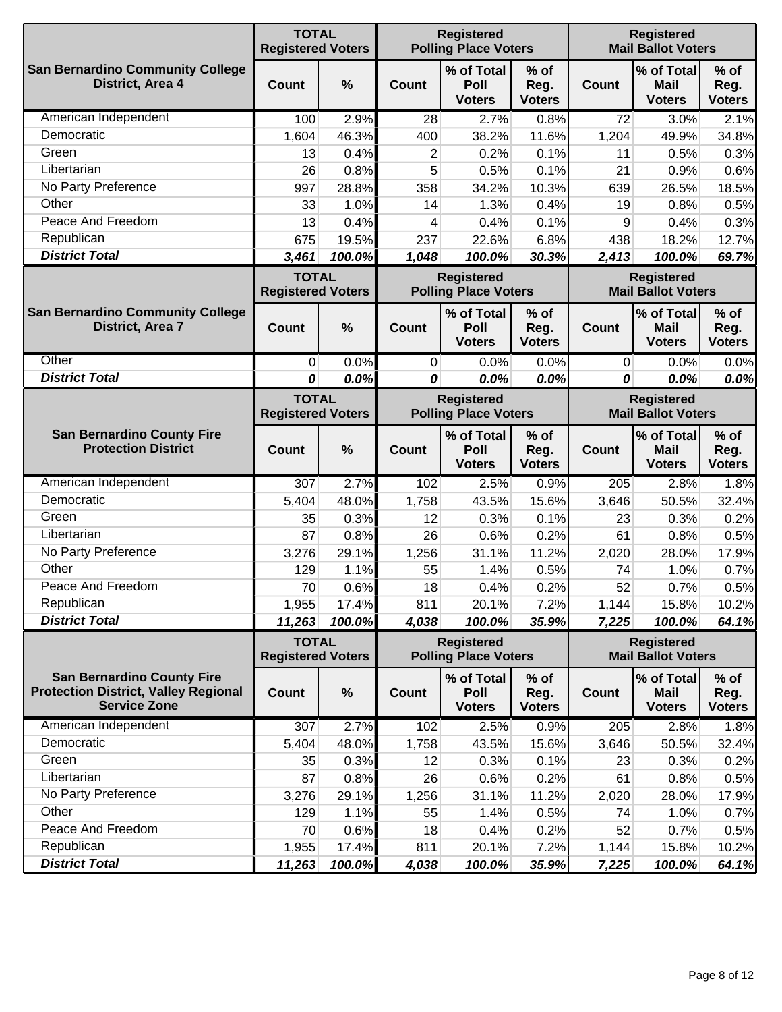|                                                                                                         | <b>TOTAL</b>                             | <b>Registered</b><br><b>Registered</b><br><b>Mail Ballot Voters</b><br><b>Registered Voters</b><br><b>Polling Place Voters</b> |                |                                                  |                                 |              |                                                |                                 |
|---------------------------------------------------------------------------------------------------------|------------------------------------------|--------------------------------------------------------------------------------------------------------------------------------|----------------|--------------------------------------------------|---------------------------------|--------------|------------------------------------------------|---------------------------------|
| <b>San Bernardino Community College</b><br>District, Area 4                                             | <b>Count</b>                             | %                                                                                                                              | Count          | % of Total<br>Poll<br><b>Voters</b>              | $%$ of<br>Reg.<br><b>Voters</b> | <b>Count</b> | % of Total<br><b>Mail</b><br><b>Voters</b>     | $%$ of<br>Reg.<br><b>Voters</b> |
| American Independent                                                                                    | 100                                      | 2.9%                                                                                                                           | 28             | 2.7%                                             | 0.8%                            | 72           | 3.0%                                           | 2.1%                            |
| Democratic                                                                                              | 1,604                                    | 46.3%                                                                                                                          | 400            | 38.2%                                            | 11.6%                           | 1,204        | 49.9%                                          | 34.8%                           |
| Green                                                                                                   | 13                                       | 0.4%                                                                                                                           | $\overline{2}$ | 0.2%                                             | 0.1%                            | 11           | 0.5%                                           | 0.3%                            |
| Libertarian                                                                                             | 26                                       | 0.8%                                                                                                                           | 5              | 0.5%                                             | 0.1%                            | 21           | 0.9%                                           | 0.6%                            |
| No Party Preference                                                                                     | 997                                      | 28.8%                                                                                                                          | 358            | 34.2%                                            | 10.3%                           | 639          | 26.5%                                          | 18.5%                           |
| Other                                                                                                   | 33                                       | 1.0%                                                                                                                           | 14             | 1.3%                                             | 0.4%                            | 19           | 0.8%                                           | 0.5%                            |
| Peace And Freedom                                                                                       | 13                                       | 0.4%                                                                                                                           | 4              | 0.4%                                             | 0.1%                            | 9            | 0.4%                                           | 0.3%                            |
| Republican                                                                                              | 675                                      | 19.5%                                                                                                                          | 237            | 22.6%                                            | 6.8%                            | 438          | 18.2%                                          | 12.7%                           |
| <b>District Total</b>                                                                                   | 3,461                                    | 100.0%                                                                                                                         | 1,048          | 100.0%                                           | 30.3%                           | 2,413        | 100.0%                                         | 69.7%                           |
|                                                                                                         | <b>TOTAL</b><br><b>Registered Voters</b> |                                                                                                                                |                | <b>Registered</b><br><b>Polling Place Voters</b> |                                 |              | <b>Registered</b><br><b>Mail Ballot Voters</b> |                                 |
| <b>San Bernardino Community College</b><br>District, Area 7                                             | Count                                    | $\%$                                                                                                                           | <b>Count</b>   | % of Total<br>Poll<br><b>Voters</b>              | $%$ of<br>Reg.<br><b>Voters</b> | <b>Count</b> | % of Total<br>Mail<br><b>Voters</b>            | $%$ of<br>Reg.<br><b>Voters</b> |
| Other                                                                                                   | $\mathbf 0$                              | 0.0%                                                                                                                           | 0              | 0.0%                                             | 0.0%                            | $\mathbf{0}$ | 0.0%                                           | 0.0%                            |
| <b>District Total</b>                                                                                   | 0                                        | 0.0%                                                                                                                           | 0              | 0.0%                                             | 0.0%                            | 0            | 0.0%                                           | 0.0%                            |
|                                                                                                         | <b>TOTAL</b><br><b>Registered Voters</b> |                                                                                                                                |                | <b>Registered</b><br><b>Polling Place Voters</b> |                                 |              | <b>Registered</b><br><b>Mail Ballot Voters</b> |                                 |
| <b>San Bernardino County Fire</b><br><b>Protection District</b>                                         | Count                                    | $\%$                                                                                                                           | Count          | % of Total<br>Poll<br><b>Voters</b>              | $%$ of<br>Reg.<br><b>Voters</b> | <b>Count</b> | % of Total<br>Mail<br><b>Voters</b>            | $%$ of<br>Reg.<br><b>Voters</b> |
| American Independent                                                                                    | 307                                      | 2.7%                                                                                                                           | 102            | 2.5%                                             | 0.9%                            | 205          | 2.8%                                           | 1.8%                            |
| Democratic                                                                                              | 5,404                                    | 48.0%                                                                                                                          | 1,758          | 43.5%                                            | 15.6%                           | 3,646        | 50.5%                                          | 32.4%                           |
| Green                                                                                                   | 35                                       | 0.3%                                                                                                                           | 12             | 0.3%                                             | 0.1%                            | 23           | 0.3%                                           | 0.2%                            |
| Libertarian                                                                                             | 87                                       | 0.8%                                                                                                                           | 26             | 0.6%                                             | 0.2%                            | 61           | 0.8%                                           | 0.5%                            |
| No Party Preference                                                                                     | 3,276                                    | 29.1%                                                                                                                          | 1,256          | 31.1%                                            | 11.2%                           | 2,020        | 28.0%                                          | 17.9%                           |
| Other                                                                                                   | 129                                      | 1.1%                                                                                                                           | 55             | 1.4%                                             | 0.5%                            | 74           | 1.0%                                           | 0.7%                            |
| Peace And Freedom                                                                                       | 70                                       | 0.6%                                                                                                                           | 18             | 0.4%                                             | 0.2%                            | 52           | 0.7%                                           | 0.5%                            |
| Republican                                                                                              | 1,955                                    | 17.4%                                                                                                                          | 811            | 20.1%                                            | 7.2%                            | 1,144        | 15.8%                                          | 10.2%                           |
| <b>District Total</b>                                                                                   | 11,263                                   | 100.0%                                                                                                                         | 4,038          | 100.0%                                           | 35.9%                           | 7,225        | 100.0%                                         | 64.1%                           |
|                                                                                                         | <b>TOTAL</b><br><b>Registered Voters</b> |                                                                                                                                |                | <b>Registered</b><br><b>Polling Place Voters</b> |                                 |              | <b>Registered</b><br><b>Mail Ballot Voters</b> |                                 |
| <b>San Bernardino County Fire</b><br><b>Protection District, Valley Regional</b><br><b>Service Zone</b> | <b>Count</b>                             | $\%$                                                                                                                           | <b>Count</b>   | % of Total<br>Poll<br><b>Voters</b>              | $%$ of<br>Reg.<br><b>Voters</b> | Count        | % of Total<br><b>Mail</b><br><b>Voters</b>     | $%$ of<br>Reg.<br><b>Voters</b> |
| American Independent                                                                                    | 307                                      | 2.7%                                                                                                                           | 102            | 2.5%                                             | 0.9%                            | 205          | 2.8%                                           | 1.8%                            |
| Democratic                                                                                              | 5,404                                    | 48.0%                                                                                                                          | 1,758          | 43.5%                                            | 15.6%                           | 3,646        | 50.5%                                          | 32.4%                           |
| Green                                                                                                   | 35                                       | 0.3%                                                                                                                           | 12             | 0.3%                                             | 0.1%                            | 23           | 0.3%                                           | 0.2%                            |
| Libertarian                                                                                             | 87                                       | 0.8%                                                                                                                           | 26             | 0.6%                                             | 0.2%                            | 61           | 0.8%                                           | 0.5%                            |
| No Party Preference                                                                                     | 3,276                                    | 29.1%                                                                                                                          | 1,256          | 31.1%                                            | 11.2%                           | 2,020        | 28.0%                                          | 17.9%                           |
| Other                                                                                                   | 129                                      | 1.1%                                                                                                                           | 55             | 1.4%                                             | 0.5%                            | 74           | 1.0%                                           | 0.7%                            |
| Peace And Freedom                                                                                       | 70                                       | 0.6%                                                                                                                           | 18             | 0.4%                                             | 0.2%                            | 52           | 0.7%                                           | 0.5%                            |
| Republican                                                                                              | 1,955                                    | 17.4%                                                                                                                          | 811            | 20.1%                                            | 7.2%                            | 1,144        | 15.8%                                          | 10.2%                           |
| <b>District Total</b>                                                                                   | 11,263                                   | 100.0%                                                                                                                         | 4,038          | 100.0%                                           | 35.9%                           | 7,225        | 100.0%                                         | 64.1%                           |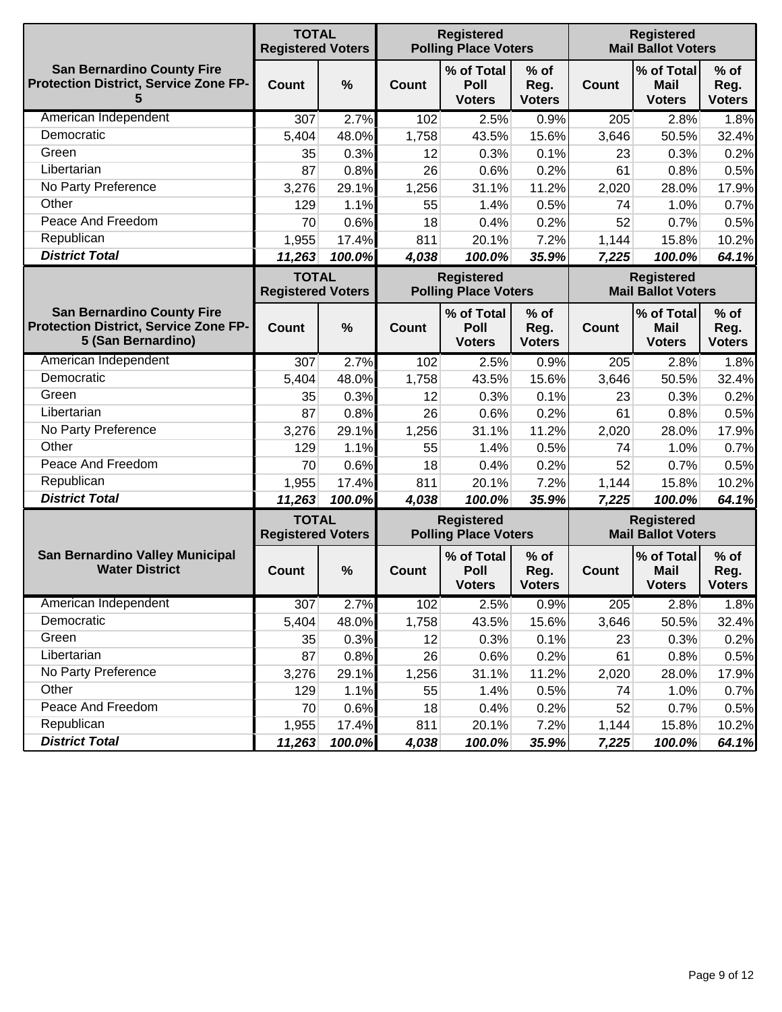|                                                                                                         | <b>TOTAL</b><br><b>Registered Voters</b> |               |              | <b>Registered</b><br><b>Polling Place Voters</b> |                                 |              | <b>Registered</b><br><b>Mail Ballot Voters</b> |                                 |  |
|---------------------------------------------------------------------------------------------------------|------------------------------------------|---------------|--------------|--------------------------------------------------|---------------------------------|--------------|------------------------------------------------|---------------------------------|--|
| <b>San Bernardino County Fire</b><br><b>Protection District, Service Zone FP-</b><br>5                  | Count                                    | $\frac{0}{0}$ | Count        | % of Total<br>Poll<br><b>Voters</b>              | $%$ of<br>Reg.<br><b>Voters</b> | <b>Count</b> | % of Total<br>Mail<br><b>Voters</b>            | $%$ of<br>Reg.<br><b>Voters</b> |  |
| American Independent                                                                                    | 307                                      | 2.7%          | 102          | 2.5%                                             | 0.9%                            | 205          | 2.8%                                           | 1.8%                            |  |
| Democratic                                                                                              | 5,404                                    | 48.0%         | 1,758        | 43.5%                                            | 15.6%                           | 3,646        | 50.5%                                          | 32.4%                           |  |
| Green                                                                                                   | 35                                       | 0.3%          | 12           | 0.3%                                             | 0.1%                            | 23           | 0.3%                                           | 0.2%                            |  |
| Libertarian                                                                                             | 87                                       | 0.8%          | 26           | 0.6%                                             | 0.2%                            | 61           | 0.8%                                           | 0.5%                            |  |
| No Party Preference                                                                                     | 3,276                                    | 29.1%         | 1,256        | 31.1%                                            | 11.2%                           | 2,020        | 28.0%                                          | 17.9%                           |  |
| Other                                                                                                   | 129                                      | 1.1%          | 55           | 1.4%                                             | 0.5%                            | 74           | 1.0%                                           | 0.7%                            |  |
| Peace And Freedom                                                                                       | 70                                       | 0.6%          | 18           | 0.4%                                             | 0.2%                            | 52           | 0.7%                                           | 0.5%                            |  |
| Republican                                                                                              | 1,955                                    | 17.4%         | 811          | 20.1%                                            | 7.2%                            | 1,144        | 15.8%                                          | 10.2%                           |  |
| <b>District Total</b>                                                                                   | 11,263                                   | 100.0%        | 4,038        | 100.0%                                           | 35.9%                           | 7,225        | 100.0%                                         | 64.1%                           |  |
|                                                                                                         | <b>TOTAL</b><br><b>Registered Voters</b> |               |              | <b>Registered</b><br><b>Polling Place Voters</b> |                                 |              | <b>Registered</b><br><b>Mail Ballot Voters</b> |                                 |  |
| <b>San Bernardino County Fire</b><br><b>Protection District, Service Zone FP-</b><br>5 (San Bernardino) | Count                                    | $\frac{0}{0}$ | Count        | % of Total<br>Poll<br><b>Voters</b>              | $%$ of<br>Reg.<br><b>Voters</b> | <b>Count</b> | % of Total<br><b>Mail</b><br><b>Voters</b>     | $%$ of<br>Reg.<br><b>Voters</b> |  |
| American Independent                                                                                    | 307                                      | 2.7%          | 102          | 2.5%                                             | 0.9%                            | 205          | 2.8%                                           | 1.8%                            |  |
| Democratic                                                                                              | 5,404                                    | 48.0%         | 1,758        | 43.5%                                            | 15.6%                           | 3,646        | 50.5%                                          | 32.4%                           |  |
| Green                                                                                                   | 35                                       | 0.3%          | 12           | 0.3%                                             | 0.1%                            | 23           | 0.3%                                           | 0.2%                            |  |
| Libertarian                                                                                             | 87                                       | 0.8%          | 26           | 0.6%                                             | 0.2%                            | 61           | 0.8%                                           | 0.5%                            |  |
| No Party Preference                                                                                     | 3,276                                    | 29.1%         | 1,256        | 31.1%                                            | 11.2%                           | 2,020        | 28.0%                                          | 17.9%                           |  |
| Other                                                                                                   | 129                                      | 1.1%          | 55           | 1.4%                                             | 0.5%                            | 74           | 1.0%                                           | 0.7%                            |  |
| Peace And Freedom                                                                                       | 70                                       | 0.6%          | 18           | 0.4%                                             | 0.2%                            | 52           | 0.7%                                           | 0.5%                            |  |
| Republican                                                                                              | 1,955                                    | 17.4%         | 811          | 20.1%                                            | 7.2%                            | 1,144        | 15.8%                                          | 10.2%                           |  |
| <b>District Total</b>                                                                                   | 11,263                                   | 100.0%        | 4,038        | 100.0%                                           | 35.9%                           | 7,225        | 100.0%                                         | 64.1%                           |  |
|                                                                                                         | <b>TOTAL</b><br><b>Registered Voters</b> |               |              | <b>Registered</b><br><b>Polling Place Voters</b> |                                 |              | <b>Registered</b><br><b>Mail Ballot Voters</b> |                                 |  |
| <b>San Bernardino Valley Municipal</b><br><b>Water District</b>                                         | Count                                    | $\frac{0}{0}$ | <b>Count</b> | % of Total<br>Poll<br><b>Voters</b>              | $%$ of<br>Reg.<br><b>Voters</b> | Count        | % of Total<br>Mail<br><b>Voters</b>            | $%$ of<br>Reg.<br><b>Voters</b> |  |
| American Independent                                                                                    | 307                                      | 2.7%          | 102          | 2.5%                                             | 0.9%                            | 205          | 2.8%                                           | 1.8%                            |  |
| Democratic                                                                                              | 5,404                                    | 48.0%         | 1,758        | 43.5%                                            | 15.6%                           | 3,646        | 50.5%                                          | 32.4%                           |  |
| Green                                                                                                   | 35                                       | 0.3%          | 12           | 0.3%                                             | 0.1%                            | 23           | 0.3%                                           | 0.2%                            |  |
| Libertarian                                                                                             | 87                                       | 0.8%          | 26           | 0.6%                                             | 0.2%                            | 61           | 0.8%                                           | 0.5%                            |  |
| No Party Preference                                                                                     | 3,276                                    | 29.1%         | 1,256        | 31.1%                                            | 11.2%                           | 2,020        | 28.0%                                          | 17.9%                           |  |
| Other                                                                                                   | 129                                      | 1.1%          | 55           | 1.4%                                             | 0.5%                            | 74           | 1.0%                                           | 0.7%                            |  |
| Peace And Freedom                                                                                       | 70                                       | 0.6%          | 18           | 0.4%                                             | 0.2%                            | 52           | 0.7%                                           | 0.5%                            |  |
| Republican                                                                                              | 1,955                                    | 17.4%         | 811          | 20.1%                                            | 7.2%                            | 1,144        | 15.8%                                          | 10.2%                           |  |
| <b>District Total</b>                                                                                   | 11,263                                   | 100.0%        | 4,038        | 100.0%                                           | 35.9%                           | 7,225        | 100.0%                                         | 64.1%                           |  |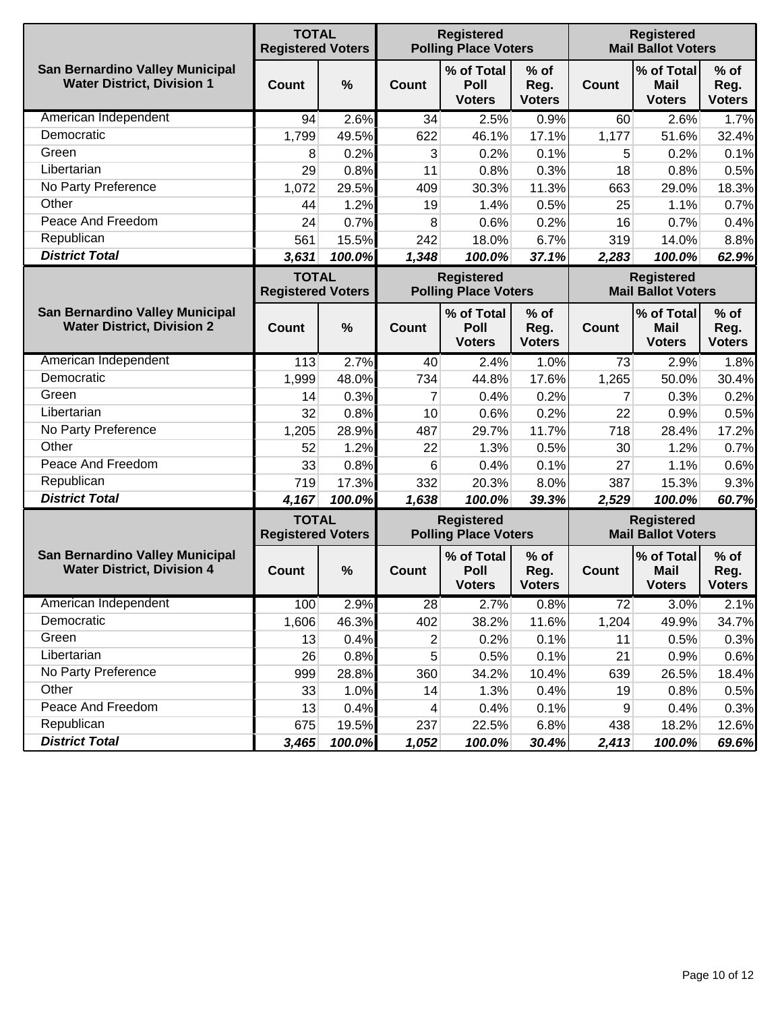|                                                                      | <b>TOTAL</b><br><b>Registered Voters</b> |        |                | <b>Registered</b><br><b>Polling Place Voters</b> |                                 |              | <b>Registered</b><br><b>Mail Ballot Voters</b> |                                 |
|----------------------------------------------------------------------|------------------------------------------|--------|----------------|--------------------------------------------------|---------------------------------|--------------|------------------------------------------------|---------------------------------|
| San Bernardino Valley Municipal<br><b>Water District, Division 1</b> | Count                                    | %      | Count          | % of Total<br>Poll<br><b>Voters</b>              | $%$ of<br>Reg.<br><b>Voters</b> | <b>Count</b> | % of Total<br><b>Mail</b><br><b>Voters</b>     | $%$ of<br>Reg.<br><b>Voters</b> |
| American Independent                                                 | 94                                       | 2.6%   | 34             | 2.5%                                             | 0.9%                            | 60           | 2.6%                                           | 1.7%                            |
| Democratic                                                           | 1,799                                    | 49.5%  | 622            | 46.1%                                            | 17.1%                           | 1,177        | 51.6%                                          | 32.4%                           |
| Green                                                                | 8                                        | 0.2%   | 3              | 0.2%                                             | 0.1%                            | 5            | 0.2%                                           | 0.1%                            |
| Libertarian                                                          | 29                                       | 0.8%   | 11             | 0.8%                                             | 0.3%                            | 18           | 0.8%                                           | 0.5%                            |
| No Party Preference                                                  | 1,072                                    | 29.5%  | 409            | 30.3%                                            | 11.3%                           | 663          | 29.0%                                          | 18.3%                           |
| Other                                                                | 44                                       | 1.2%   | 19             | 1.4%                                             | 0.5%                            | 25           | 1.1%                                           | 0.7%                            |
| Peace And Freedom                                                    | 24                                       | 0.7%   | 8              | 0.6%                                             | 0.2%                            | 16           | 0.7%                                           | 0.4%                            |
| Republican                                                           | 561                                      | 15.5%  | 242            | 18.0%                                            | 6.7%                            | 319          | 14.0%                                          | 8.8%                            |
| <b>District Total</b>                                                | 3,631                                    | 100.0% | 1,348          | 100.0%                                           | 37.1%                           | 2,283        | 100.0%                                         | 62.9%                           |
|                                                                      | <b>TOTAL</b><br><b>Registered Voters</b> |        |                | <b>Registered</b><br><b>Polling Place Voters</b> |                                 |              | <b>Registered</b><br><b>Mail Ballot Voters</b> |                                 |
| San Bernardino Valley Municipal<br><b>Water District, Division 2</b> | Count                                    | %      | Count          | % of Total<br>Poll<br><b>Voters</b>              | $%$ of<br>Reg.<br><b>Voters</b> | <b>Count</b> | % of Total<br><b>Mail</b><br><b>Voters</b>     | $%$ of<br>Reg.<br><b>Voters</b> |
| American Independent                                                 | 113                                      | 2.7%   | 40             | 2.4%                                             | 1.0%                            | 73           | 2.9%                                           | 1.8%                            |
| Democratic                                                           | 1,999                                    | 48.0%  | 734            | 44.8%                                            | 17.6%                           | 1,265        | 50.0%                                          | 30.4%                           |
| Green                                                                | 14                                       | 0.3%   | $\overline{7}$ | 0.4%                                             | 0.2%                            | 7            | 0.3%                                           | 0.2%                            |
| Libertarian                                                          | 32                                       | 0.8%   | 10             | 0.6%                                             | 0.2%                            | 22           | 0.9%                                           | 0.5%                            |
| No Party Preference                                                  | 1,205                                    | 28.9%  | 487            | 29.7%                                            | 11.7%                           | 718          | 28.4%                                          | 17.2%                           |
| Other                                                                | 52                                       | 1.2%   | 22             | 1.3%                                             | 0.5%                            | 30           | 1.2%                                           | 0.7%                            |
| Peace And Freedom                                                    | 33                                       | 0.8%   | 6              | 0.4%                                             | 0.1%                            | 27           | 1.1%                                           | 0.6%                            |
| Republican                                                           | 719                                      | 17.3%  | 332            | 20.3%                                            | 8.0%                            | 387          | 15.3%                                          | 9.3%                            |
| <b>District Total</b>                                                | 4,167                                    | 100.0% | 1,638          | 100.0%                                           | 39.3%                           | 2,529        | 100.0%                                         | 60.7%                           |
|                                                                      | <b>TOTAL</b><br><b>Registered Voters</b> |        |                | <b>Registered</b><br><b>Polling Place Voters</b> |                                 |              | <b>Registered</b><br><b>Mail Ballot Voters</b> |                                 |
| San Bernardino Valley Municipal<br><b>Water District, Division 4</b> | Count                                    | %      | <b>Count</b>   | % of Total<br>Poll<br><b>Voters</b>              | $%$ of<br>Reg.<br><b>Voters</b> | <b>Count</b> | % of Total<br><b>Mail</b><br><b>Voters</b>     | $%$ of<br>Reg.<br><b>Voters</b> |
| American Independent                                                 | 100                                      | 2.9%   | 28             | 2.7%                                             | 0.8%                            | 72           | 3.0%                                           | 2.1%                            |
| Democratic                                                           | 1,606                                    | 46.3%  | 402            | 38.2%                                            | 11.6%                           | 1,204        | 49.9%                                          | 34.7%                           |
| Green                                                                | 13                                       | 0.4%   | 2              | 0.2%                                             | 0.1%                            | 11           | 0.5%                                           | 0.3%                            |
| Libertarian                                                          | 26                                       | 0.8%   | 5              | 0.5%                                             | 0.1%                            | 21           | 0.9%                                           | 0.6%                            |
| No Party Preference                                                  | 999                                      | 28.8%  | 360            | 34.2%                                            | 10.4%                           | 639          | 26.5%                                          | 18.4%                           |
| Other                                                                | 33                                       | 1.0%   | 14             | 1.3%                                             | 0.4%                            | 19           | 0.8%                                           | 0.5%                            |
| Peace And Freedom                                                    | 13                                       | 0.4%   | 4              | 0.4%                                             | 0.1%                            | 9            | 0.4%                                           | 0.3%                            |
| Republican                                                           | 675                                      | 19.5%  | 237            | 22.5%                                            | 6.8%                            | 438          | 18.2%                                          | 12.6%                           |
| <b>District Total</b>                                                | 3,465                                    | 100.0% | 1,052          | 100.0%                                           | 30.4%                           | 2,413        | 100.0%                                         | 69.6%                           |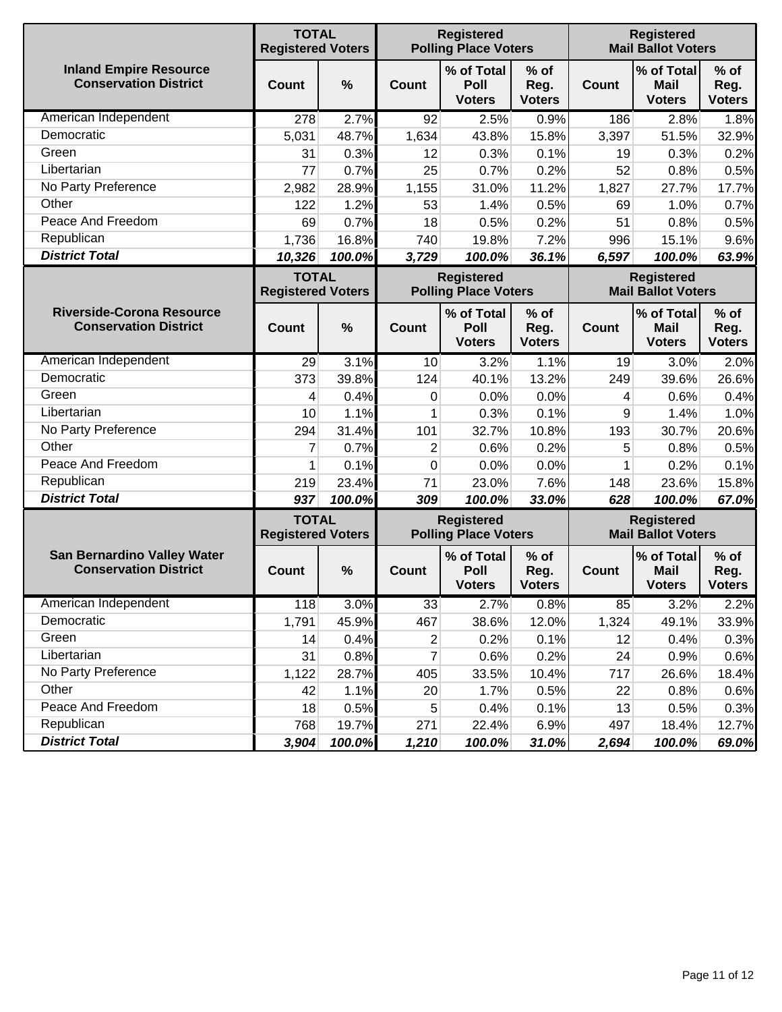|                                                                    | <b>TOTAL</b><br><b>Registered Voters</b> |        |                | <b>Registered</b><br><b>Polling Place Voters</b> |                                 |              | <b>Registered</b><br><b>Mail Ballot Voters</b> |                                 |
|--------------------------------------------------------------------|------------------------------------------|--------|----------------|--------------------------------------------------|---------------------------------|--------------|------------------------------------------------|---------------------------------|
| <b>Inland Empire Resource</b><br><b>Conservation District</b>      | <b>Count</b>                             | %      | Count          | % of Total<br>Poll<br><b>Voters</b>              | $%$ of<br>Reg.<br><b>Voters</b> | Count        | % of Total<br><b>Mail</b><br><b>Voters</b>     | $%$ of<br>Reg.<br><b>Voters</b> |
| American Independent                                               | 278                                      | 2.7%   | 92             | 2.5%                                             | 0.9%                            | 186          | 2.8%                                           | 1.8%                            |
| Democratic                                                         | 5,031                                    | 48.7%  | 1,634          | 43.8%                                            | 15.8%                           | 3,397        | 51.5%                                          | 32.9%                           |
| Green                                                              | 31                                       | 0.3%   | 12             | 0.3%                                             | 0.1%                            | 19           | 0.3%                                           | 0.2%                            |
| Libertarian                                                        | 77                                       | 0.7%   | 25             | 0.7%                                             | 0.2%                            | 52           | 0.8%                                           | 0.5%                            |
| No Party Preference                                                | 2,982                                    | 28.9%  | 1,155          | 31.0%                                            | 11.2%                           | 1,827        | 27.7%                                          | 17.7%                           |
| Other                                                              | 122                                      | 1.2%   | 53             | 1.4%                                             | 0.5%                            | 69           | 1.0%                                           | 0.7%                            |
| Peace And Freedom                                                  | 69                                       | 0.7%   | 18             | 0.5%                                             | 0.2%                            | 51           | 0.8%                                           | 0.5%                            |
| Republican                                                         | 1,736                                    | 16.8%  | 740            | 19.8%                                            | 7.2%                            | 996          | 15.1%                                          | 9.6%                            |
| <b>District Total</b>                                              | 10,326                                   | 100.0% | 3,729          | 100.0%                                           | 36.1%                           | 6,597        | 100.0%                                         | 63.9%                           |
|                                                                    | <b>TOTAL</b><br><b>Registered Voters</b> |        |                | <b>Registered</b><br><b>Polling Place Voters</b> |                                 |              | <b>Registered</b><br><b>Mail Ballot Voters</b> |                                 |
| <b>Riverside-Corona Resource</b><br><b>Conservation District</b>   | <b>Count</b>                             | $\%$   | <b>Count</b>   | % of Total<br>Poll<br><b>Voters</b>              | $%$ of<br>Reg.<br><b>Voters</b> | <b>Count</b> | % of Total<br><b>Mail</b><br><b>Voters</b>     | $%$ of<br>Reg.<br><b>Voters</b> |
| American Independent                                               | 29                                       | 3.1%   | 10             | 3.2%                                             | 1.1%                            | 19           | 3.0%                                           | 2.0%                            |
| Democratic                                                         | 373                                      | 39.8%  | 124            | 40.1%                                            | 13.2%                           | 249          | 39.6%                                          | 26.6%                           |
| Green                                                              | 4                                        | 0.4%   | 0              | 0.0%                                             | 0.0%                            | 4            | 0.6%                                           | 0.4%                            |
| Libertarian                                                        | 10                                       | 1.1%   | 1              | 0.3%                                             | 0.1%                            | 9            | 1.4%                                           | 1.0%                            |
| No Party Preference                                                | 294                                      | 31.4%  | 101            | 32.7%                                            | 10.8%                           | 193          | 30.7%                                          | 20.6%                           |
| Other                                                              | 7                                        | 0.7%   | $\overline{2}$ | 0.6%                                             | 0.2%                            | 5            | 0.8%                                           | 0.5%                            |
| Peace And Freedom                                                  | 1                                        | 0.1%   | $\mathbf 0$    | 0.0%                                             | 0.0%                            | 1            | 0.2%                                           | 0.1%                            |
| Republican                                                         | 219                                      | 23.4%  | 71             | 23.0%                                            | 7.6%                            | 148          | 23.6%                                          | 15.8%                           |
| <b>District Total</b>                                              | 937                                      | 100.0% | 309            | 100.0%                                           | 33.0%                           | 628          | 100.0%                                         | 67.0%                           |
|                                                                    | <b>TOTAL</b><br><b>Registered Voters</b> |        |                | <b>Registered</b><br><b>Polling Place Voters</b> |                                 |              | <b>Registered</b><br><b>Mail Ballot Voters</b> |                                 |
| <b>San Bernardino Valley Water</b><br><b>Conservation District</b> | <b>Count</b>                             | %      | <b>Count</b>   | % of Total<br>Poll<br><b>Voters</b>              | $%$ of<br>Reg.<br><b>Voters</b> | <b>Count</b> | % of Total<br>Mail<br><b>Voters</b>            | $%$ of<br>Reg.<br><b>Voters</b> |
| American Independent                                               | 118                                      | 3.0%   | 33             | 2.7%                                             | 0.8%                            | 85           | 3.2%                                           | 2.2%                            |
| Democratic                                                         | 1,791                                    | 45.9%  | 467            | 38.6%                                            | 12.0%                           | 1,324        | 49.1%                                          | 33.9%                           |
| Green                                                              | 14                                       | 0.4%   | 2              | 0.2%                                             | 0.1%                            | 12           | 0.4%                                           | 0.3%                            |
| Libertarian                                                        | 31                                       | 0.8%   | 7              | 0.6%                                             | 0.2%                            | 24           | 0.9%                                           | 0.6%                            |
| No Party Preference                                                | 1,122                                    | 28.7%  | 405            | 33.5%                                            | 10.4%                           | 717          | 26.6%                                          | 18.4%                           |
| Other                                                              | 42                                       | 1.1%   | 20             | 1.7%                                             | 0.5%                            | 22           | 0.8%                                           | 0.6%                            |
| Peace And Freedom                                                  | 18                                       | 0.5%   | 5              | 0.4%                                             | 0.1%                            | 13           | 0.5%                                           | 0.3%                            |
| Republican                                                         | 768                                      | 19.7%  | 271            | 22.4%                                            | 6.9%                            | 497          | 18.4%                                          | 12.7%                           |
| <b>District Total</b>                                              | 3,904                                    | 100.0% | 1,210          | 100.0%                                           | 31.0%                           | 2,694        | 100.0%                                         | 69.0%                           |